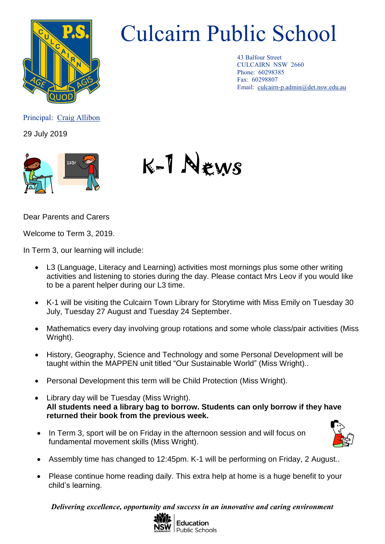

## Culcairn Public School

43 Balfour Street CULCAIRN NSW 2660 Phone: 60298385 Fax: 60298807 Email: [culcairn-p.admin@det.nsw.edu.au](mailto:culcairn-p.admin@det.nsw.edu.au)

Principal: Craig Allibon

29 July 2019





Dear Parents and Carers

Welcome to Term 3, 2019.

In Term 3, our learning will include:

- L3 (Language, Literacy and Learning) activities most mornings plus some other writing activities and listening to stories during the day. Please contact Mrs Leov if you would like to be a parent helper during our L3 time.
- K-1 will be visiting the Culcairn Town Library for Storytime with Miss Emily on Tuesday 30 July, Tuesday 27 August and Tuesday 24 September.
- Mathematics every day involving group rotations and some whole class/pair activities (Miss Wright).
- History, Geography, Science and Technology and some Personal Development will be taught within the MAPPEN unit titled "Our Sustainable World" (Miss Wright)..
- Personal Development this term will be Child Protection (Miss Wright).
- Library day will be Tuesday (Miss Wright). **All students need a library bag to borrow. Students can only borrow if they have returned their book from the previous week.**
- In Term 3, sport will be on Friday in the afternoon session and will focus on fundamental movement skills (Miss Wright).



- Assembly time has changed to 12:45pm. K-1 will be performing on Friday, 2 August..
- Please continue home reading daily. This extra help at home is a huge benefit to your child's learning.

*Delivering excellence, opportunity and success in an innovative and caring environment*